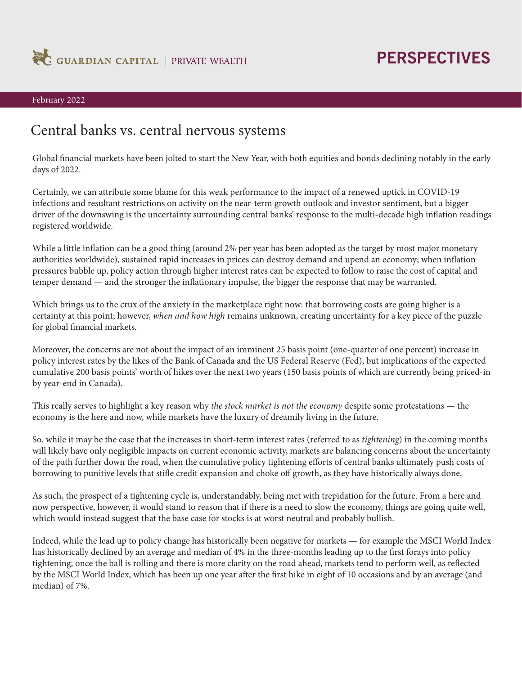

# **PERSPECTIVES**

### February 2022

### Central banks vs. central nervous systems

Global financial markets have been jolted to start the New Year, with both equities and bonds declining notably in the early days of 2022.

Certainly, we can attribute some blame for this weak performance to the impact of a renewed uptick in COVID-19 infections and resultant restrictions on activity on the near-term growth outlook and investor sentiment, but a bigger driver of the downswing is the uncertainty surrounding central banks' response to the multi-decade high inflation readings registered worldwide.

While a little inflation can be a good thing (around 2% per year has been adopted as the target by most major monetary authorities worldwide), sustained rapid increases in prices can destroy demand and upend an economy; when inflation pressures bubble up, policy action through higher interest rates can be expected to follow to raise the cost of capital and temper demand — and the stronger the inflationary impulse, the bigger the response that may be warranted.

Which brings us to the crux of the anxiety in the marketplace right now: that borrowing costs are going higher is a certainty at this point; however, *when and how high* remains unknown, creating uncertainty for a key piece of the puzzle for global financial markets.

Moreover, the concerns are not about the impact of an imminent 25 basis point (one-quarter of one percent) increase in policy interest rates by the likes of the Bank of Canada and the US Federal Reserve (Fed), but implications of the expected cumulative 200 basis points' worth of hikes over the next two years (150 basis points of which are currently being priced-in by year-end in Canada).

This really serves to highlight a key reason why *the stock market is not the economy* despite some protestations — the economy is the here and now, while markets have the luxury of dreamily living in the future.

So, while it may be the case that the increases in short-term interest rates (referred to as *tightening*) in the coming months will likely have only negligible impacts on current economic activity, markets are balancing concerns about the uncertainty of the path further down the road, when the cumulative policy tightening efforts of central banks ultimately push costs of borrowing to punitive levels that stifle credit expansion and choke off growth, as they have historically always done.

As such, the prospect of a tightening cycle is, understandably, being met with trepidation for the future. From a here and now perspective, however, it would stand to reason that if there is a need to slow the economy, things are going quite well, which would instead suggest that the base case for stocks is at worst neutral and probably bullish.

Indeed, while the lead up to policy change has historically been negative for markets — for example the MSCI World Index has historically declined by an average and median of 4% in the three-months leading up to the first forays into policy tightening; once the ball is rolling and there is more clarity on the road ahead, markets tend to perform well, as reflected by the MSCI World Index, which has been up one year after the first hike in eight of 10 occasions and by an average (and median) of 7%.